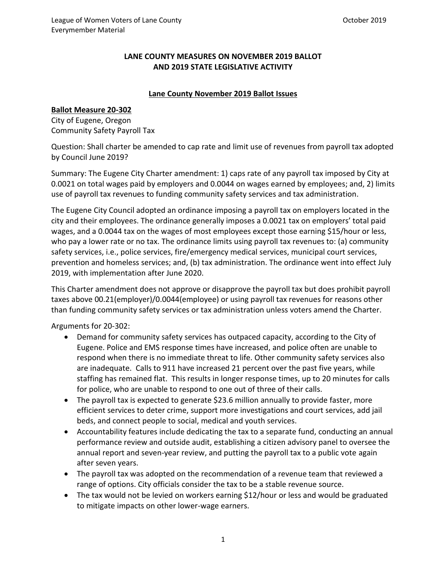# **LANE COUNTY MEASURES ON NOVEMBER 2019 BALLOT AND 2019 STATE LEGISLATIVE ACTIVITY**

#### **Lane County November 2019 Ballot Issues**

#### **Ballot Measure 20-302**

City of Eugene, Oregon Community Safety Payroll Tax

Question: Shall charter be amended to cap rate and limit use of revenues from payroll tax adopted by Council June 2019?

Summary: The Eugene City Charter amendment: 1) caps rate of any payroll tax imposed by City at 0.0021 on total wages paid by employers and 0.0044 on wages earned by employees; and, 2) limits use of payroll tax revenues to funding community safety services and tax administration.

The Eugene City Council adopted an ordinance imposing a payroll tax on employers located in the city and their employees. The ordinance generally imposes a 0.0021 tax on employers' total paid wages, and a 0.0044 tax on the wages of most employees except those earning \$15/hour or less, who pay a lower rate or no tax. The ordinance limits using payroll tax revenues to: (a) community safety services, i.e., police services, fire/emergency medical services, municipal court services, prevention and homeless services; and, (b) tax administration. The ordinance went into effect July 2019, with implementation after June 2020.

This Charter amendment does not approve or disapprove the payroll tax but does prohibit payroll taxes above 00.21(employer)/0.0044(employee) or using payroll tax revenues for reasons other than funding community safety services or tax administration unless voters amend the Charter.

Arguments for 20-302:

- Demand for community safety services has outpaced capacity, according to the City of Eugene. Police and EMS response times have increased, and police often are unable to respond when there is no immediate threat to life. Other community safety services also are inadequate. Calls to 911 have increased 21 percent over the past five years, while staffing has remained flat. This results in longer response times, up to 20 minutes for calls for police, who are unable to respond to one out of three of their calls.
- The payroll tax is expected to generate \$23.6 million annually to provide faster, more efficient services to deter crime, support more investigations and court services, add jail beds, and connect people to social, medical and youth services.
- Accountability features include dedicating the tax to a separate fund, conducting an annual performance review and outside audit, establishing a citizen advisory panel to oversee the annual report and seven-year review, and putting the payroll tax to a public vote again after seven years.
- The payroll tax was adopted on the recommendation of a revenue team that reviewed a range of options. City officials consider the tax to be a stable revenue source.
- The tax would not be levied on workers earning \$12/hour or less and would be graduated to mitigate impacts on other lower-wage earners.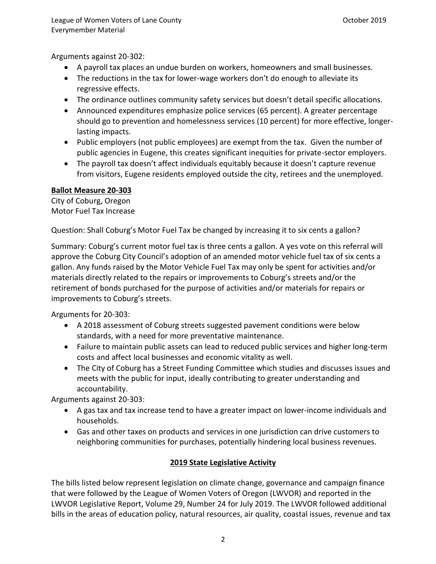Arguments against 20-302:

- A payroll tax places an undue burden on workers, homeowners and small businesses.
- The reductions in the tax for lower-wage workers don't do enough to alleviate its regressive effects.
- The ordinance outlines community safety services but doesn't detail specific allocations.
- Announced expenditures emphasize police services (65 percent). A greater percentage should go to prevention and homelessness services (10 percent) for more effective, longerlasting impacts.
- Public employers (not public employees) are exempt from the tax. Given the number of public agencies in Eugene, this creates significant inequities for private-sector employers.
- The payroll tax doesn't affect individuals equitably because it doesn't capture revenue from visitors, Eugene residents employed outside the city, retirees and the unemployed.

# **Ballot Measure 20-303**

City of Coburg, Oregon Motor Fuel Tax Increase

Question: Shall Coburg's Motor Fuel Tax be changed by increasing it to six cents a gallon?

Summary: Coburg's current motor fuel tax is three cents a gallon. A yes vote on this referral will approve the Coburg City Council's adoption of an amended motor vehicle fuel tax of six cents a gallon. Any funds raised by the Motor Vehicle Fuel Tax may only be spent for activities and/or materials directly related to the repairs or improvements to Coburg's streets and/or the retirement of bonds purchased for the purpose of activities and/or materials for repairs or improvements to Coburg's streets.

Arguments for 20-303:

- A 2018 assessment of Coburg streets suggested pavement conditions were below standards, with a need for more preventative maintenance.
- Failure to maintain public assets can lead to reduced public services and higher long-term costs and affect local businesses and economic vitality as well.
- The City of Coburg has a Street Funding Committee which studies and discusses issues and meets with the public for input, ideally contributing to greater understanding and accountability.

Arguments against 20-303:

- A gas tax and tax increase tend to have a greater impact on lower-income individuals and households.
- Gas and other taxes on products and services in one jurisdiction can drive customers to neighboring communities for purchases, potentially hindering local business revenues.

# **2019 State Legislative Activity**

The bills listed below represent legislation on climate change, governance and campaign finance that were followed by the League of Women Voters of Oregon (LWVOR) and reported in the LWVOR Legislative Report, Volume 29, Number 24 for July 2019. The LWVOR followed additional bills in the areas of education policy, natural resources, air quality, coastal issues, revenue and tax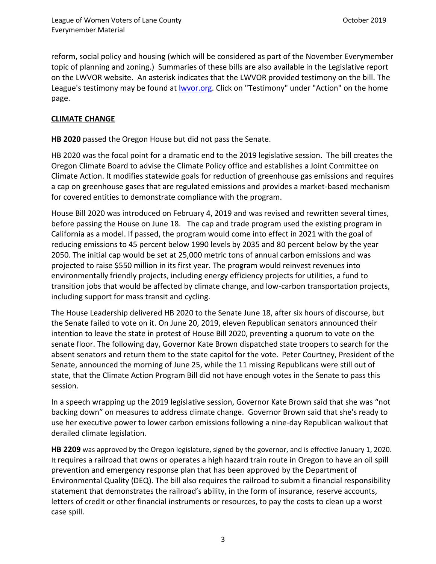reform, social policy and housing (which will be considered as part of the November Everymember topic of planning and zoning.) Summaries of these bills are also available in the Legislative report on the LWVOR website. An asterisk indicates that the LWVOR provided testimony on the bill. The League's testimony may be found at <u>Iwvor.org</u>. Click on "Testimony" under "Action" on the home page.

### **CLIMATE CHANGE**

**HB 2020** passed the Oregon House but did not pass the Senate.

[HB 2020](https://olis.leg.state.or.us/liz/2019R1/Measures/Overview/HB2020) was the focal point for a dramatic end to the 2019 legislative session. The bill creates the Oregon Climate Board to advise the Climate Policy office and establishes a Joint Committee on Climate Action. It modifies statewide goals for reduction of greenhouse gas emissions and requires a cap on greenhouse gases that are regulated emissions and provides a market-based mechanism for covered entities to demonstrate compliance with the program.

House Bill 2020 was introduced on February 4, 2019 and was revised and rewritten several times, before passing the House on June 18. The cap and trade program used the existing program in [California](https://en.wikipedia.org/wiki/California) as a model. If passed, the program would come into effect in 2021 with the goal of reducing emissions to 45 percent below 1990 levels by 2035 and 80 percent below by the year 2050. The initial cap would be set at 25,000 metric tons of annual carbon emissions and was projected to raise \$550 million in its first year. The program would reinvest revenues into environmentally friendly projects, including energy efficiency projects for utilities, a fund to transition jobs that would be affected by climate change, and low-carbon transportation projects, including support for mass transit and cycling.

The House Leadership delivered HB 2020 to the Senate June 18, after six hours of discourse, but the Senate failed to vote on it. On June 20, 2019, eleven Republican senators announced their intention to leave the state in protest of House Bill 2020, preventing a quorum to vote on the senate floor. The following day, Governor [Kate Brown](https://en.wikipedia.org/wiki/Kate_Brown) dispatched state troopers to search for the absent senators and return them to the state capitol for the vote. Peter Courtney, President of the Senate, announced the morning of June 25, while the 11 missing Republicans were still out of state, that the Climate Action Program Bill did not have enough votes in the Senate to pass this session.

In a speech wrapping up the 2019 legislative session, Governor Kate Brown said that she was "not backing down" on measures to address climate change. Governor Brown said that she's ready to use her executive power to lower carbon emissions following [a nine-day Republican walkout that](https://www.kdrv.com/content/news/Oregons-Republican-Senators-host-press-conference-end-walkout-511957771.html)  [derailed climate legislation.](https://www.kdrv.com/content/news/Oregons-Republican-Senators-host-press-conference-end-walkout-511957771.html)

**HB 2209** was approved by the Oregon legislature, signed by the governor, and is effective January 1, 2020. It requires a railroad that owns or operates a high hazard train route in Oregon to have an oil spill prevention and emergency response plan that has been approved by the Department of Environmental Quality (DEQ). The bill also requires the railroad to submit a financial responsibility statement that demonstrates the railroad's ability, in the form of insurance, reserve accounts, letters of credit or other financial instruments or resources, to pay the costs to clean up a worst case spill.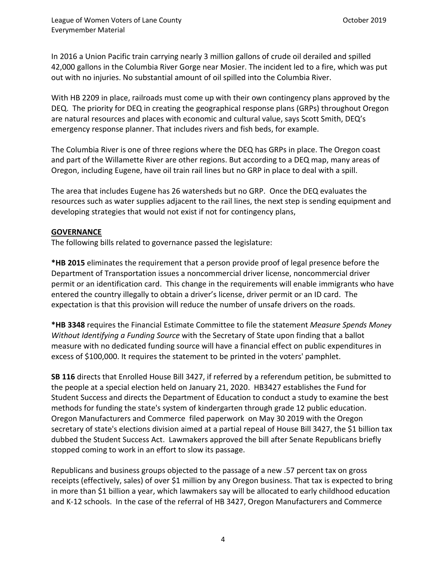In 2016 a Union Pacific train carrying nearly 3 million gallons of crude oil derailed and spilled 42,000 gallons in the Columbia River Gorge near Mosier. The incident led to a fire, which was put out with no injuries. No substantial amount of oil spilled into the Columbia River.

With HB 2209 in place, railroads must come up with their own contingency plans approved by the DEQ. The priority for DEQ in creating the geographical response plans (GRPs) throughout Oregon are natural resources and places with economic and cultural value, says Scott Smith, DEQ's emergency response planner. That includes rivers and fish beds, for example.

The Columbia River is one of three regions where the DEQ has GRPs in place. The Oregon coast and part of the Willamette River are other regions. But according to a DEQ map, many areas of Oregon, including Eugene, have oil train rail lines but no GRP in place to deal with a spill.

The area that includes Eugene has 26 watersheds but no GRP. Once the DEQ evaluates the resources such as water supplies adjacent to the rail lines, the next step is sending equipment and developing strategies that would not exist if not for contingency plans,

#### **GOVERNANCE**

The following bills related to governance passed the legislature:

**\*HB 2015** eliminates the requirement that a person provide proof of legal presence before the Department of Transportation issues a noncommercial driver license, noncommercial driver permit or an identification card. This change in the requirements will enable immigrants who have entered the country illegally to obtain a driver's license, driver permit or an ID card. The expectation is that this provision will reduce the number of unsafe drivers on the roads.

**\*HB 3348** requires the Financial Estimate Committee to file the statement *Measure Spends Money Without Identifying a Funding Source* with the Secretary of State upon finding that a ballot measure with no dedicated funding source will have a financial effect on public expenditures in excess of \$100,000. It requires the statement to be printed in the voters' pamphlet.

**SB 116** directs that Enrolled House Bill 3427, if referred by a referendum petition, be submitted to the people at a special election held on January 21, 2020. HB3427 establishes the Fund for Student Success and directs the Department of Education to conduct a study to examine the best methods for funding the state's system of kindergarten through grade 12 public education. Oregon Manufacturers and Commerce [filed paperwork on May 30 2019 with the Oregon](http://oregonvotes.org/irr/2020/301text.pdf) [secretary of state's elections division](http://oregonvotes.org/irr/2020/301text.pdf) aimed at a partial repeal of [House Bill 3427,](https://olis.leg.state.or.us/liz/2019R1/Measures/Overview/HB3427) the \$1 billion tax dubbed the Student Success Act. Lawmakers approved the bill after Senate Republicans briefly stopped coming to work in an effort to slow its passage.

Republicans and business groups objected to the passage of a new .57 percent tax on gross receipts (effectively, sales) of over \$1 million by any Oregon business. That tax is expected to bring in more than \$1 billion a year, which lawmakers say will be allocated to early childhood education and K-12 schools. In the case of the referral of HB 3427, Oregon Manufacturers and Commerce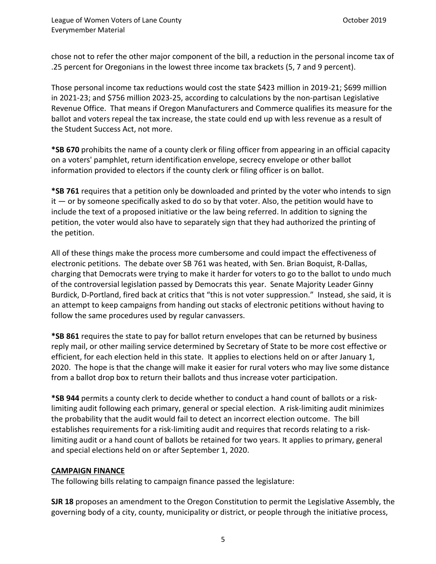chose not to refer the other major component of the bill, a reduction in the personal income tax of .25 percent for Oregonians in the lowest three income tax brackets (5, 7 and 9 percent).

Those personal income tax reductions would cost the state \$423 million in 2019-21; \$699 million in 2021-23; and \$756 million 2023-25, according to calculations by the non-partisan Legislative Revenue Office. That means if Oregon Manufacturers and Commerce qualifies its measure for the ballot and voters repeal the tax increase, the state could end up with less revenue as a result of the Student Success Act, not more.

**\*SB 670** prohibits the name of a county clerk or filing officer from appearing in an official capacity on a voters' pamphlet, return identification envelope, secrecy envelope or other ballot information provided to electors if the county clerk or filing officer is on ballot.

**\*SB 761** requires that a petition only be downloaded and printed by the voter who intends to sign  $it$  — or by someone specifically asked to do so by that voter. Also, the petition would have to include the text of a proposed initiative or the law being referred. In addition to signing the petition, the voter would also have to separately sign that they had authorized the printing of the petition.

All of these things make the process more cumbersome and could impact the effectiveness of electronic petitions. The debate over [SB 761](https://olis.leg.state.or.us/liz/2019R1/Measures/Overview/SB761) was heated, with Sen. Brian Boquist, R-Dallas, charging that Democrats were trying to make it harder for voters to go to the ballot to undo much of the controversial legislation passed by Democrats this year. Senate Majority Leader Ginny Burdick, D-Portland, fired back at critics that "this is not voter suppression." Instead, she said, it is an attempt to keep campaigns from handing out stacks of electronic petitions without having to follow the same procedures used by regular canvassers.

**\*SB 861** requires the state to pay for ballot return envelopes that can be returned by business reply mail, or other mailing service determined by Secretary of State to be more cost effective or efficient, for each election held in this state. It applies to elections held on or after January 1, 2020. The hope is that the change will make it easier for rural voters who may live some distance from a ballot drop box to return their ballots and thus increase voter participation.

**\*SB 944** permits a county clerk to decide whether to conduct a hand count of ballots or a risklimiting audit following each primary, general or special election. A risk-limiting audit minimizes the probability that the audit would fail to detect an incorrect election outcome. The bill establishes requirements for a risk-limiting audit and requires that records relating to a risklimiting audit or a hand count of ballots be retained for two years. It applies to primary, general and special elections held on or after September 1, 2020.

### **CAMPAIGN FINANCE**

The following bills relating to campaign finance passed the legislature:

**SJR 18** proposes an amendment to the Oregon Constitution to permit the Legislative Assembly, the governing body of a city, county, municipality or district, or people through the initiative process,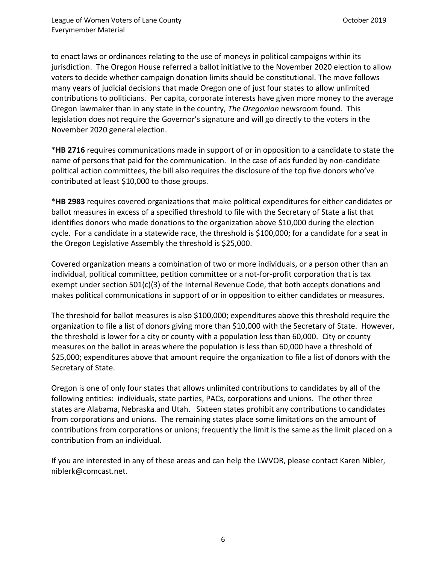to enact laws or ordinances relating to the use of moneys in political campaigns within its jurisdiction. The Oregon House referred a ballot initiative to the November 2020 election to allow voters to decide whether campaign donation limits should be constitutional. The move follows many years of judicial decisions that made Oregon one of just four states to allow unlimited contributions to politicians. Per capita, corporate interests have given more money to the average Oregon lawmaker than in any state in the country, *The Oregonian* newsroom found. This legislation does not require the Governor's signature and will go directly to the voters in the November 2020 general election.

\***HB 2716** requires communications made in support of or in opposition to a candidate to state the name of persons that paid for the communication. In the case of ads funded by non-candidate political action committees, the bill also requires the disclosure of the top five donors who've contributed at least \$10,000 to those groups.

\***HB 2983** requires covered organizations that make political expenditures for either candidates or ballot measures in excess of a specified threshold to file with the Secretary of State a list that identifies donors who made donations to the organization above \$10,000 during the election cycle. For a candidate in a statewide race, the threshold is \$100,000; for a candidate for a seat in the Oregon Legislative Assembly the threshold is \$25,000.

Covered organization means a combination of two or more individuals, or a person other than an individual, political committee, petition committee or a not-for-profit corporation that is tax exempt under section 501(c)(3) of the Internal Revenue Code, that both accepts donations and makes political communications in support of or in opposition to either candidates or measures.

The threshold for ballot measures is also \$100,000; expenditures above this threshold require the organization to file a list of donors giving more than \$10,000 with the Secretary of State. However, the threshold is lower for a city or county with a population less than 60,000. City or county measures on the ballot in areas where the population is less than 60,000 have a threshold of \$25,000; expenditures above that amount require the organization to file a list of donors with the Secretary of State.

Oregon is one of only four states that allows unlimited contributions to candidates by all of the following entities: individuals, state parties, PACs, corporations and unions. The other three states are Alabama, Nebraska and Utah. Sixteen states prohibit any contributions to candidates from corporations and unions. The remaining states place some limitations on the amount of contributions from corporations or unions; frequently the limit is the same as the limit placed on a contribution from an individual.

If you are interested in any of these areas and can help the LWVOR, please contact Karen Nibler, niblerk@comcast.net.